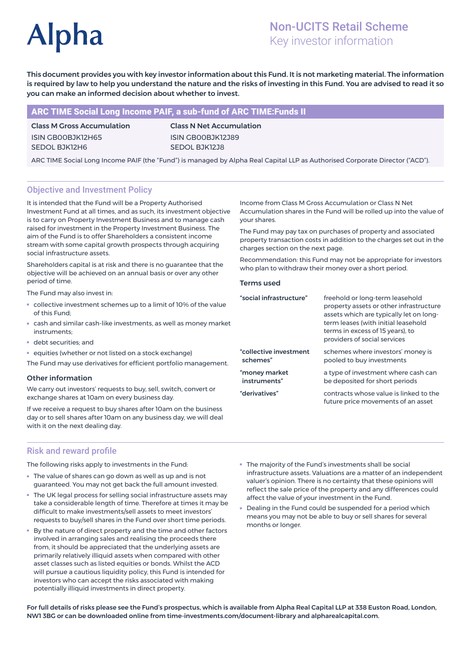# **Alpha**

# Non-UCITS Retail Scheme Key investor information

This document provides you with key investor information about this Fund. It is not marketing material. The information is required by law to help you understand the nature and the risks of investing in this Fund. You are advised to read it so you can make an informed decision about whether to invest.

# ARC TIME Social Long Income PAIF, a sub-fund of ARC TIME:Funds II

Class M Gross Accumulation ISIN GB00BJK12H65 SEDOL BJK12H6

Class N Net Accumulation ISIN GB00BJK12J89 SEDOL BJK12J8

ARC TIME Social Long Income PAIF (the "Fund") is managed by Alpha Real Capital LLP as Authorised Corporate Director ("ACD").

# Objective and Investment Policy

It is intended that the Fund will be a Property Authorised Investment Fund at all times, and as such, its investment objective is to carry on Property Investment Business and to manage cash raised for investment in the Property Investment Business. The aim of the Fund is to offer Shareholders a consistent income stream with some capital growth prospects through acquiring social infrastructure assets.

Shareholders capital is at risk and there is no guarantee that the objective will be achieved on an annual basis or over any other period of time.

The Fund may also invest in:

- collective investment schemes up to a limit of 10% of the value of this Fund;
- cash and similar cash-like investments, as well as money market instruments;
- debt securities; and
- equities (whether or not listed on a stock exchange)

The Fund may use derivatives for efficient portfolio management.

#### Other information

We carry out investors' requests to buy, sell, switch, convert or exchange shares at 10am on every business day.

If we receive a request to buy shares after 10am on the business day or to sell shares after 10am on any business day, we will deal with it on the next dealing day.

## Risk and reward profile

The following risks apply to investments in the Fund:

- The value of shares can go down as well as up and is not guaranteed. You may not get back the full amount invested.
- The UK legal process for selling social infrastructure assets may take a considerable length of time. Therefore at times it may be difficult to make investments/sell assets to meet investors' requests to buy/sell shares in the Fund over short time periods.
- By the nature of direct property and the time and other factors involved in arranging sales and realising the proceeds there from, it should be appreciated that the underlying assets are primarily relatively illiquid assets when compared with other asset classes such as listed equities or bonds. Whilst the ACD will pursue a cautious liquidity policy, this Fund is intended for investors who can accept the risks associated with making potentially illiquid investments in direct property.
- The majority of the Fund's investments shall be social infrastructure assets. Valuations are a matter of an independent valuer's opinion. There is no certainty that these opinions will reflect the sale price of the property and any differences could affect the value of your investment in the Fund.
- Dealing in the Fund could be suspended for a period which means you may not be able to buy or sell shares for several months or longer.

For full details of risks please see the Fund's prospectus, which is available from Alpha Real Capital LLP at 338 Euston Road, London, NW1 3BG or can be downloaded online from time-investments.com/document-library and alpharealcapital.com.

Income from Class M Gross Accumulation or Class N Net Accumulation shares in the Fund will be rolled up into the value of your shares.

The Fund may pay tax on purchases of property and associated property transaction costs in addition to the charges set out in the charges section on the next page.

Recommendation: this Fund may not be appropriate for investors who plan to withdraw their money over a short period.

#### Terms used

| "social infrastructure" | freehold or long-term leasehold<br>property assets or other infrastructure<br>assets which are typically let on long-<br>term leases (with initial leasehold<br>terms in excess of 15 years), to<br>providers of social services |
|-------------------------|----------------------------------------------------------------------------------------------------------------------------------------------------------------------------------------------------------------------------------|
| "collective investment  | schemes where investors' money is                                                                                                                                                                                                |
| schemes"                | pooled to buy investments                                                                                                                                                                                                        |
| "money market           | a type of investment where cash can                                                                                                                                                                                              |
| instruments"            | be deposited for short periods                                                                                                                                                                                                   |
| "derivatives"           | contracts whose value is linked to the<br>future price movements of an asset                                                                                                                                                     |